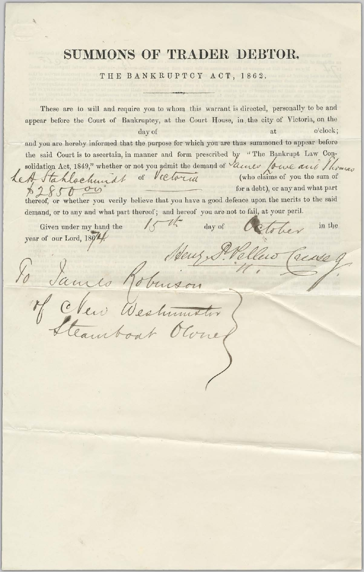## SUMMONS OF TRADER DEBTOR.

## THE BANKRUPTCY ACT, 1862.

These are to will and require you to whom this warrant is directed, personally to be and appear before the Court of Bankruptcy, at the Court House, in the city of Victoria, on the o'clock; at day of and you are hereby informed that the purpose for which you are thus summoned to appear before the said Court is to ascertain, in manner and form prescribed by "The Bankrupt Law Consolidation Act, 1849," whether or not you admit the demand of Vane for the and Thomas Let Stahlochundt of Victoria (who claims of you the sum of for a debt), or any and what part thereof, or whether you verily believe that you have a good defence upon the merits to the said demand, or to any and what part thereof; and hereof you are not to fail, at your peril.  $\sqrt{2}$  $\mathcal{U}^{\bullet}$ Given under my hand the day of in the year of our Lord, 1864. of clav Westmitter